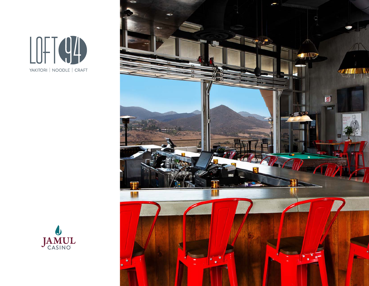



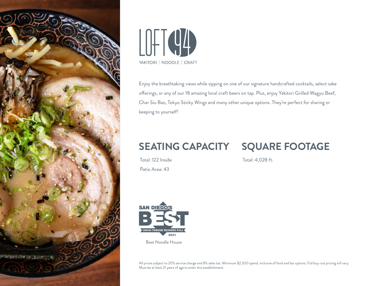



Enjoy the breathtaking views while sipping on one of our signature handcrafted cocktails, select sake offerings, or any of our 18 amazing local craft beers on tap. Plus, enjoy Yakitori Grilled Wagyu Beef, Char Siu Bao, Tokyo Sticky Wings and many other unique options. They're perfect for sharing or keeping to yourself!

## **SEATING CAPACITY**

## **SQUARE FOOTAGE**

Total: 122 Inside Patio Area: 43

Total: 4,028 ft.



All prices subject to 20% service charge and 8% sales tax. Minimum \$2,500 spend, inclusive of food and bar options. Full buy-out pricing will vary. Must be at least 21 years of age to enter this establishment.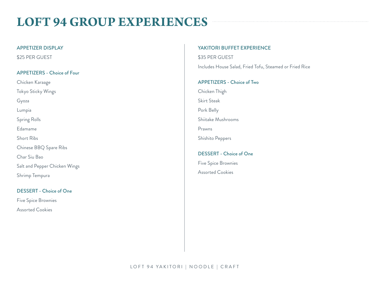# **LOFT 94 GROUP EXPERIENCES**

## APPETIZER DISPLAY

\$25 PER GUEST

## APPETIZERS - Choice of Four

Chicken Karaage Tokyo Sticky Wings Gyoza Lumpia Spring Rolls Edamame Short Ribs Chinese BBQ Spare Ribs Char Siu Bao Salt and Pepper Chicken Wings Shrimp Tempura

## DESSERT - Choice of One

Five Spice Brownies Assorted Cookies

### YAKITORI BUFFET EXPERIENCE

\$35 PER GUEST

Includes House Salad, Fried Tofu, Steamed or Fried Rice

### APPETIZERS - Choice of Two

Chicken Thigh Skirt Steak Pork Belly

Shiitake Mushrooms

Prawns

Shishito Peppers

## DESSERT - Choice of One Five Spice Brownies

Assorted Cookies